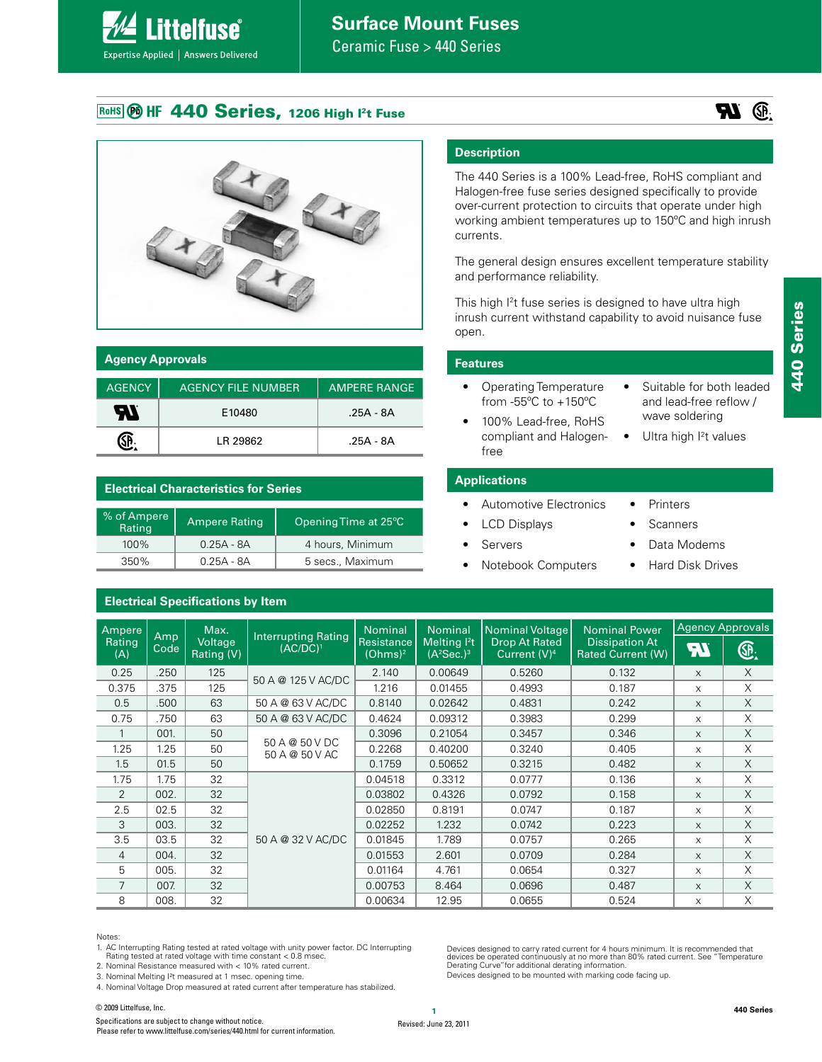

Ceramic Fuse > 440 Series

## ROHS BO HF 440 Series, 1206 High I<sup>2</sup>t Fuse



| <b>Agency Approvals</b> |                           |                     |  |
|-------------------------|---------------------------|---------------------|--|
| <b>AGENCY</b>           | <b>AGENCY FILE NUMBER</b> | <b>AMPERE RANGE</b> |  |
| 57                      | E10480                    | .25A - 8A           |  |
|                         | I R 29862                 | .25A - 8A           |  |

#### **Electrical Characteristics for Series**

| % of Ampere<br>Rating | <b>Ampere Rating</b> | Opening Time at 25°C |
|-----------------------|----------------------|----------------------|
| $100\%$               | $0.25A - 8A$         | 4 hours, Minimum     |
| 350%                  | $0.25A - 8A$         | 5 secs., Maximum     |

#### **Electrical Specifications by Item**

## **Description**

The 440 Series is a 100% Lead-free, RoHS compliant and Halogen-free fuse series designed specifically to provide over-current protection to circuits that operate under high working ambient temperatures up to 150ºC and high inrush currents.

The general design ensures excellent temperature stability and performance reliability.

This high I<sup>2</sup>t fuse series is designed to have ultra high inrush current withstand capability to avoid nuisance fuse open.

#### **Features**

- • Operating Temperature from -55ºC to +150ºC
- • Suitable for both leaded and lead-free reflow / wave soldering
- 100% Lead-free, RoHS compliant and Halogen-• Ultra high I<sup>2</sup>t values

#### **Applications**

**Servers** 

free

- • Automotive Electronics
	- **LCD Displays**
- **Scanners**

• Printers

Data Modems

Devices designed to carry rated current for 4 hours minimum. It is recommended that<br>devices be operated continuously at no more than 80% rated current. See "Temperature<br>Derating Curve"for additional derating information.

Devices designed to be mounted with marking code facing up.

- **Notebook Computers**
- **Hard Disk Drives**

| Ampere        |             | Max.                         | <b>Interrupting Rating</b>       | Nominal                                  | <b>Nominal</b>                          | <b>Nominal Voltage</b>                  | <b>Nominal Power</b>                              |           | <b>Agency Approvals</b> |
|---------------|-------------|------------------------------|----------------------------------|------------------------------------------|-----------------------------------------|-----------------------------------------|---------------------------------------------------|-----------|-------------------------|
| Rating<br>(A) | Amp<br>Code | <b>Voltage</b><br>Rating (V) | $(AC/DC)^1$                      | <b>Resistance</b><br>(Ohms) <sup>2</sup> | Meltina <sup>2</sup> t<br>$(A^2Sec.)^3$ | <b>Drop At Rated</b><br>Current $(V)^4$ | <b>Dissipation At</b><br><b>Rated Current (W)</b> | <b>A7</b> | Œ.                      |
| 0.25          | .250        | 125                          | 50 A @ 125 V AC/DC               | 2.140                                    | 0.00649                                 | 0.5260                                  | 0.132                                             | X         | $\times$                |
| 0.375         | .375        | 125                          |                                  | 1.216                                    | 0.01455                                 | 0.4993                                  | 0.187                                             | X         | X                       |
| 0.5           | .500        | 63                           | 50 A @ 63 V AC/DC                | 0.8140                                   | 0.02642                                 | 0.4831                                  | 0.242                                             | X         | $\times$                |
| 0.75          | .750        | 63                           | 50 A @ 63 V AC/DC                | 0.4624                                   | 0.09312                                 | 0.3983                                  | 0.299                                             | X         | $\times$                |
|               | 001.        | 50                           |                                  | 0.3096                                   | 0.21054                                 | 0.3457                                  | 0.346                                             | X         | $\times$                |
| 1.25          | 1.25        | 50                           | 50 A @ 50 V DC<br>50 A @ 50 V AC | 0.2268                                   | 0.40200                                 | 0.3240                                  | 0.405                                             | X         | $\times$                |
| 1.5           | 01.5        | 50                           |                                  | 0.1759                                   | 0.50652                                 | 0.3215                                  | 0.482                                             | $\times$  | $\times$                |
| 1.75          | 1.75        | 32                           |                                  | 0.04518                                  | 0.3312                                  | 0.0777                                  | 0.136                                             | X         | $\times$                |
| 2             | 002.        | 32                           |                                  | 0.03802                                  | 0.4326                                  | 0.0792                                  | 0.158                                             | X         | $\times$                |
| 2.5           | 02.5        | 32                           |                                  | 0.02850                                  | 0.8191                                  | 0.0747                                  | 0.187                                             | X         | X                       |
| 3             | 003.        | 32                           |                                  | 0.02252                                  | 1.232                                   | 0.0742                                  | 0.223                                             | X         | $\times$                |
| 3.5           | 03.5        | 32                           | 50 A @ 32 V AC/DC                | 0.01845                                  | 1.789                                   | 0.0757                                  | 0.265                                             | X         | $\times$                |
| 4             | 004.        | 32                           |                                  | 0.01553                                  | 2.601                                   | 0.0709                                  | 0.284                                             | X         | $\times$                |
| 5             | 005.        | 32                           |                                  | 0.01164                                  | 4.761                                   | 0.0654                                  | 0.327                                             | X         | X                       |
| 7             | 007.        | 32                           |                                  | 0.00753                                  | 8.464                                   | 0.0696                                  | 0.487                                             | X         | $\times$                |
| 8             | 008.        | 32                           |                                  | 0.00634                                  | 12.95                                   | 0.0655                                  | 0.524                                             | X         | X                       |

#### Notes:

1. AC Interrupting Rating tested at rated voltage with unity power factor. DC Interrupting Rating tested at rated voltage with time constant < 0.8 msec.

2. Nominal Resistance measured with < 10% rated current.

3. Nominal Melting I²t measured at 1 msec. opening time.

4. Nominal Voltage Drop measured at rated current after temperature has stabilized.

**<sup>1</sup>** © 2009 Littelfuse, Inc. Specifications are subject to change without notice. Please refer to www.littelfuse.com/series/440.html for current information.

 $\mathbb{R}$   $\mathbb{R}$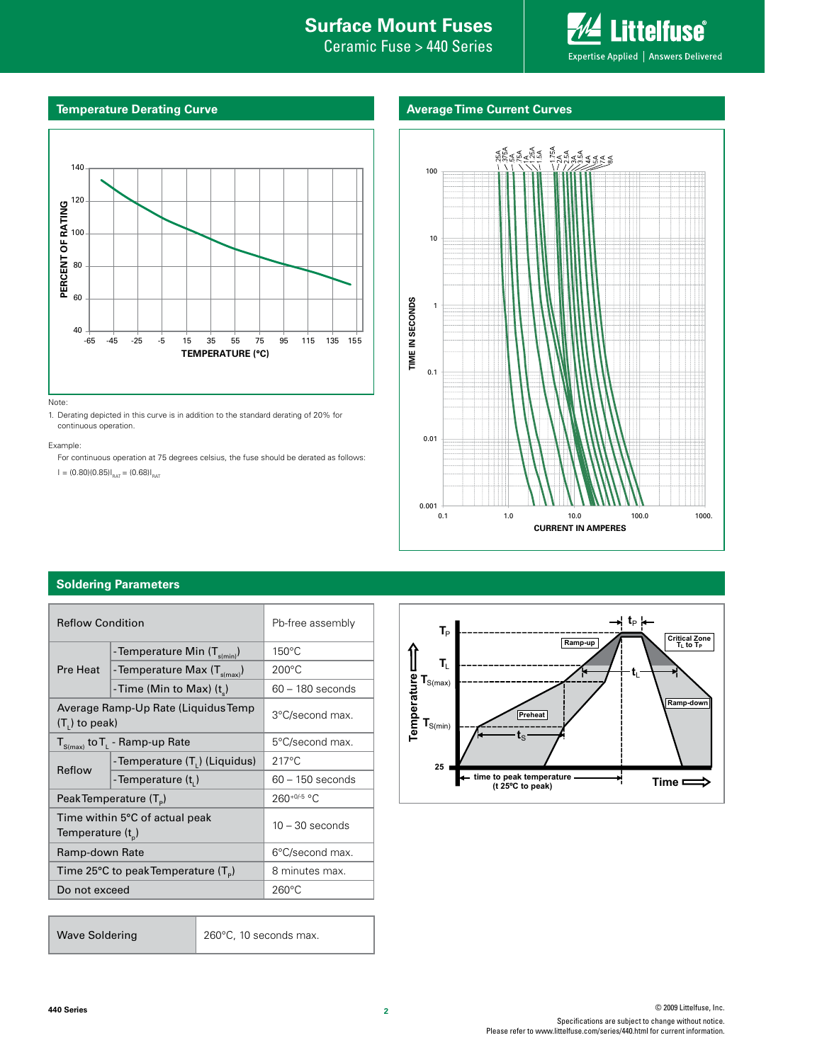## **Internal Surface Mount Fuses**

Ceramic Fuse > 440 Series



#### **Temperature Derating Curve**

#### **Average Time Current Curves**



1. Derating depicted in this curve is in addition to the standard derating of 20% for continuous operation.

Example:

For continuous operation at 75 degrees celsius, the fuse should be derated as follows:

 $I = (0.80)(0.85)I_{\text{RAT}} = (0.68)I_{\text{RAT}}$ 



#### **Soldering Parameters**

| <b>Reflow Condition</b>                                         |                                          | Pb-free assembly   |  |
|-----------------------------------------------------------------|------------------------------------------|--------------------|--|
|                                                                 | - Temperature Min (T <sub>s(min)</sub> ) | $150^{\circ}$ C    |  |
| Pre Heat                                                        | - Temperature Max $(T_{s(max)})$         | $200^{\circ}$ C    |  |
|                                                                 | -Time (Min to Max) (t)                   | $60 - 180$ seconds |  |
| Average Ramp-Up Rate (Liquidus Temp<br>$(T1)$ to peak)          |                                          | 3°C/second max.    |  |
| $T_{S(max)}$ to $T_{L}$ - Ramp-up Rate                          |                                          | 5°C/second max.    |  |
| Reflow                                                          | - Temperature (T.) (Liquidus)            | $217^{\circ}$ C    |  |
|                                                                 | - Temperature (t <sub>i</sub> )          | $60 - 150$ seconds |  |
| Peak Temperature (T <sub>e</sub> )                              |                                          | 260+0/-5 °C        |  |
| Time within 5°C of actual peak<br>Temperature (t <sub>n</sub> ) |                                          | $10 - 30$ seconds  |  |
| Ramp-down Rate                                                  |                                          | 6°C/second max.    |  |
| Time 25°C to peak Temperature $(T_{\rm s})$                     |                                          | 8 minutes max.     |  |
| Do not exceed                                                   |                                          | $260^{\circ}$ C    |  |
|                                                                 |                                          |                    |  |

Wave Soldering 260°C, 10 seconds max.